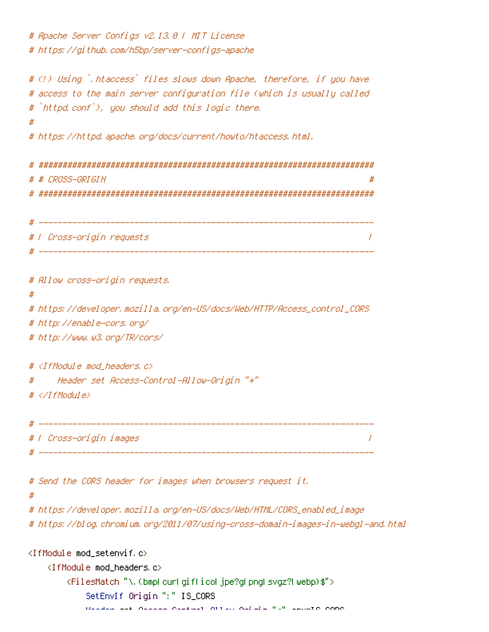# Apache Server Configs v2.13.0 | MIT License # https://github.com/h5bp/server-configs-apache # (!) Using `.htaccess` files slows down Apache, therefore, if you have # access to the main server configuration file (which is usually called # `httpd.conf`), you should add this logic there. # https://httpd.apache.org/docs/current/howto/htaccess.html. # CROSS-ORIGIN # | Cross-origin requests  $\overline{1}$ # \_\_\_\_\_\_\_\_\_\_\_\_\_ # Allow cross-origin requests,  $#$ # https://developer.mozilla.org/en-US/docs/Web/HTTP/Access\_control\_CORS # http://enable-cors.org/ # http://www.w3.org/TR/cors/ # <IfModule mod headers.c> Header set Access-Control-Allow-Origin "\*" #  $# \ll \sqrt{If M}$ ndule> # | Cross-origin images  $\overline{1}$ # Send the CORS header for images when browsers request it.  $\boldsymbol{\#}$ # https://developer.mozilla.org/en-US/docs/Web/HTML/CORS\_enabled\_image # https://blog.chromium.org/2011/07/using-cross-domain-images-in-webgl-and.html <IfModule mod\_setenvif.c> <IfModule mod headers.c> <FilesMatch "\.(bmplcurlgiflicoljpe?glpnglsvgz?lwebp)\$"> SetEnvIf Origin ":" IS\_CORS Header also necessary necessary not all not all the second none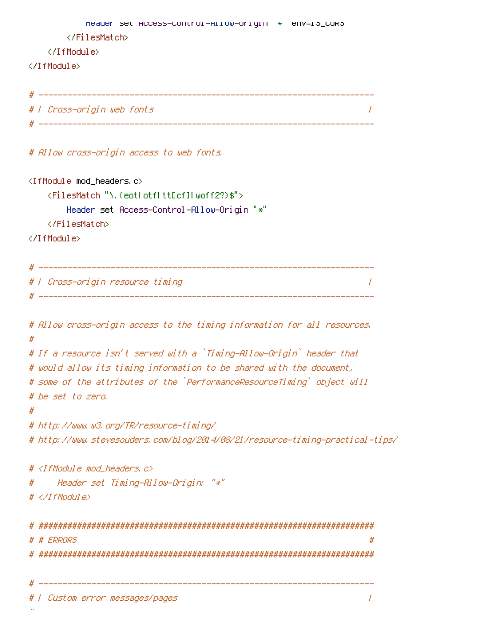```
meader set HCCess-Control-HITOW-UMIQIN * env=Ib_CURb
     </FilesMatch>
  </IfModule>
</IfModule>
# | Cross-origin web fonts
                                                \overline{I}# Allow cross-origin access to web fonts.
<IfModule mod headers.c>
  <FilesMatch "\, (eotl otfl tt[cf]l woff2?)$">
     Header set Access-Control-Allow-Origin "*"
  </FilesMatch>
</IfModule>
 # | Cross-origin resource timing
                                                \prime# Allow cross-origin access to the timing information for all resources.
## If a resource isn't served with a `Timing-Allow-Origin` header that
# would allow its timing information to be shared with the document,
# some of the attributes of the `PerformanceResourceTiming` object will
# be set to zero.
## http://www.w3.org/TR/resource-timing/
# http://www.stevesouders.com/blog/2014/08/21/resource-timing-practical-tips/
# <IfModule mod headers, c>
    Header set Timing-Allow-Origin: "*"
#
# </IfModule>
# # ERRORS
                                                ## | Custom error messages/pages
                                                \overline{I}
```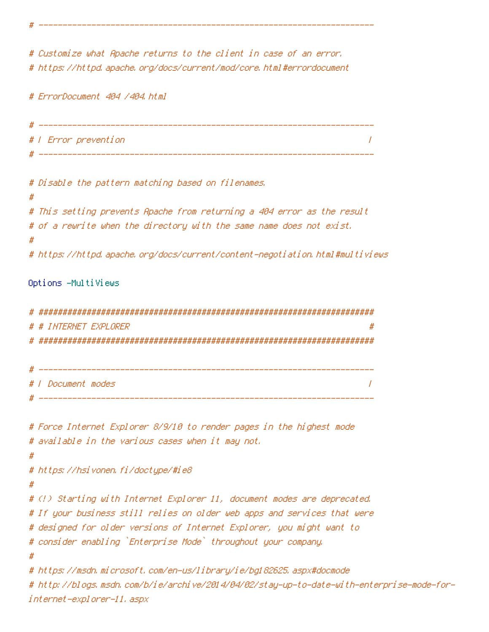# Customize what Apache returns to the client in case of an error. # https://httpd.apache.org/docs/current/mod/core.html#errordocument

# ErrorDocument 404 /404.html

# | Error prevention  $\prime$ 

# Disable the pattern matching based on filenames. # This setting prevents Apache from returning a 404 error as the result # of a rewrite when the directory with the same name does not exist. # # https://httpd.apache.org/docs/current/content-negotiation.html#multiviews

### Options -MultiViews

| # |                           |
|---|---------------------------|
|   | # # INTERNET EXPLORER     |
| # |                           |
|   |                           |
|   |                           |
|   | # <i>L</i> Document modes |
|   |                           |

# Force Internet Explorer 8/9/10 to render pages in the highest mode # available in the various cases when it may not. # # https://hsivonen.fi/doctype/#ie8 # # (!) Starting with Internet Explorer 11, document modes are deprecated. # If your business still relies on older web apps and services that were # designed for older versions of Internet Explorer, you might want to # consider enabling `Enterprise Mode` throughout your company. # # https://msdn.microsoft.com/en-us/library/ie/bg182625.aspx#docmode

# http://blogs.msdn.com/b/ie/archive/2014/04/02/stay-up-to-date-with-enterprise-mode-forinternet-explorer-11, aspx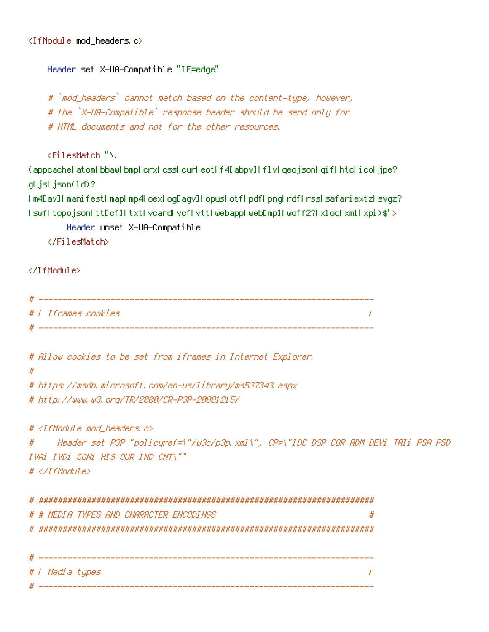```
Header set X-UA-Compatible "IE=edge"
```
#`mod\_headers` cannot match based on the content-type, however, # the `X-UA-Compatible` response header should be send only for # HTML documents and not for the other resources.

<FilesMatch "\

(appeachel atoml bbawl bmpl crxl cssl curl eoti f4D abpyll flivi geo.jsoni gifintelicol.jpe? glijslijson(1d)?

I m4D av]I manifestI mapI mp4LoexLogDagv]I opusLotfLpdfLpngLrdfLrssLsafariextzLsvgz? I swfl topojsonLttEcfILtxtLycardLycfLyttLwebappLwebEmpILwoff2?LxLocLxmlLxpiD\$">

```
Header unset X-UA-Compatible
```
</FilesMatch>

</TfModule>

| Ж |                          |  |
|---|--------------------------|--|
|   | #   Iframes cookies      |  |
| н | ________________________ |  |

# Allow cookies to be set from iframes in Internet Explorer.

 $#$ 

# https://msdn.microsoft.com/en-us/library/ms537343.aspx # http://www.w3.org/TR/2000/CR-P3P-20001215/

#  $\langle$ IfModule mod headers,  $c$ >

# / Media types

Header set P3P "policyref=\"/w3c/p3p.xml\", CP=\"IDC DSP COR ADM DEVi TAIi PSA PSD  $#$ IVAI IVDI CONI HIS OUR IND CNT\""  $# \triangle$ /TfModule>

 $\overline{1}$ 

# # MEDIA TYPES AND CHARACTER ENCODINGS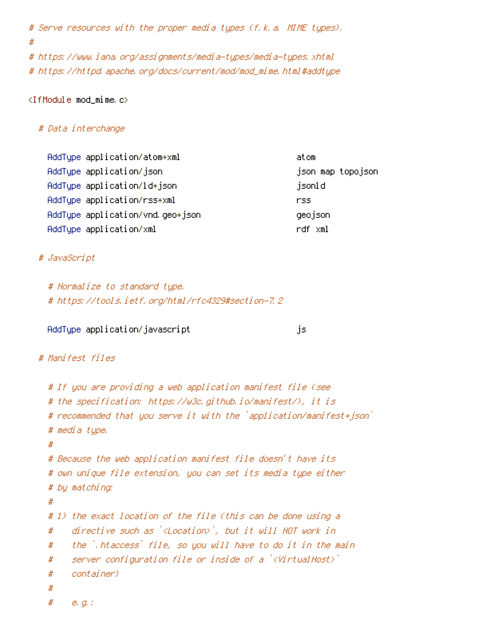```
# Serve resources with the proper media types (f.k.a. MIME types).
#
# https://www.iana.org/assignments/media-types/media-types.xhtml
```

```
# https://httpd.apache.org/docs/current/mod/mod_mime.html#addtype
```
### $\langle$ IfModule mod\_mime.c $\rangle$

### # Data interchange

| AddType application/atom+xml     | atom               |
|----------------------------------|--------------------|
| AddType application/json         | json map topojson. |
| AddType application/ld+json      | jsonld             |
| AddTupe application/rss+xml      | rss                |
| AddTupe application/vnd.geo+json | geojson            |
| AddType application/xml          | rdf xml            |

## # JavaScript

```
# Normalize to standard type.
# https://tools.ietf.org/html/rfc4329#section-7.2
```
## AddTupe application/javascript

```
.is.
```
## # Manifest files

```
# If you are providing a web application manifest file (see
# the specification: https://w3c.qithub.io/manifest/), it is
# recommended that you serve it with the `application/manifest+json`
# media type.
## Because the web application manifest file doesn't have its
# own unique file extension, you can set its media type either
# by matching:
## 1) the exact location of the file (this can be done using a
     directive such as `<Location>`, but it will NOT work in
#the `,htaccess` file, so you will have to do it in the main
#server configuration file or inside of a \forallWirtualHost\rangle#container)
#
##e, g, f
```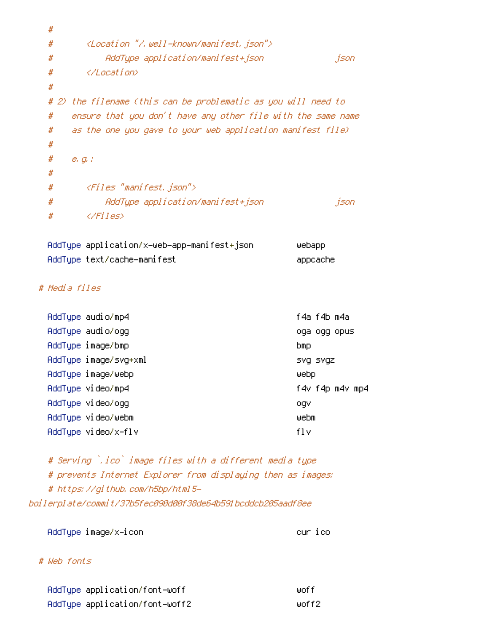```
#
  \#<Location "/.well-known/manifest.json">
  #AddType application/manifest+json
                                                               json
          </Location>
  ##
  # 2) the filename (this can be problematic as you will need to
       ensure that you don't have any other file with the same name
  #as the one you gave to your web application manifest file)
  #
  #
  \#e, g, f#
          <Files "manifest.json">
  #\#AddType application/manifest+json
                                                               json
  #\langle/Files>
  AddType application/x-web-app-manifest+json
                                                       webapp
  AddType text/cache-manifest
                                                       appcache
# Media files
```

| AddType audio/mp4 |                       | f4a f4b m4a     |
|-------------------|-----------------------|-----------------|
| AddType audio/ogg |                       | oga ogg opus    |
| AddType image/bmp |                       | bmp.            |
|                   | AddType image/svg+xml | SVQ SVQZ        |
|                   | AddType image/webp    | webp            |
| AddTupe video/mp4 |                       | f4v f4p m4v mp4 |
| AddTupe video/ogg |                       | ogv             |
|                   | AddTupe video/webm    | webm            |
|                   | AddTupe video/x-flv   | fl v            |
|                   |                       |                 |

# Serving `.ico` image files with a different media type # prevents Internet Explorer from displaying then as images: # https://github.com/h5bp/html5boilerplate/commit/37b5fec090d00f38de64b591bcddcb205aadf8ee

AddType image/x-icon

cur ico

## # Web fonts

| AddType application/font-woff  | liinf f |
|--------------------------------|---------|
| AddType application/font-woff2 | woff2 : |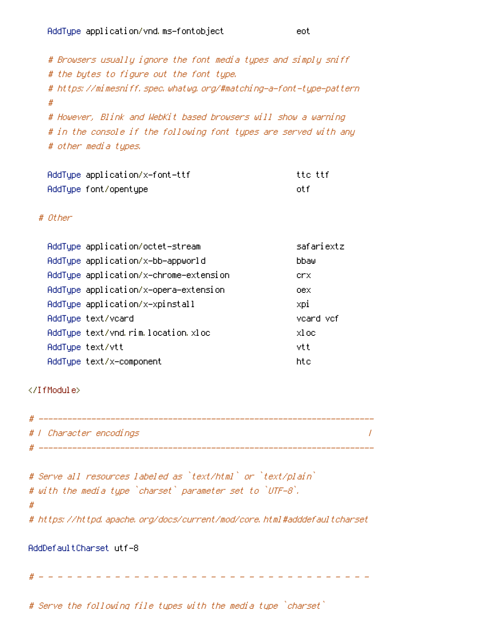# Browsers usually ignore the font media types and simply sniff # the bytes to figure out the font type. # https://mimesniff.spec.whatwg.org/#matching-a-font-type-pattern  $#$ # However, Blink and WebKit based browsers will show a warning # in the console if the following font types are served with any # other media types.

| AddTupe application/x-font-ttf | tte ttf |
|--------------------------------|---------|
| AddType font/opentype          | nt fi   |

#### $#$   $[It here]$

| AddType application/octet-stream       | safariextz |
|----------------------------------------|------------|
| AddTupe application/x-bb-appworld      | bbaw       |
| AddType application/x-chrome-extension | crx.       |
| AddType application/x-opera-extension  | oex        |
| AddTupe application/x-xpinstall        | xpi        |
| AddType text/vcard                     | veard vef  |
| AddType text/vnd.rim.location.xloc     | xl oc      |
| AddTupe text/vtt                       | vtt        |
| AddTupe text/x-component               | htc        |

#### </IfModule>

| # |                         |  |
|---|-------------------------|--|
|   | # I Character encodings |  |

```
# Serve all resources labeled as `text/html` or `text/plain`
# with the media type `charset` parameter set to `UTF-8`.
## https://httpd.apache.org/docs/current/mod/core.html#adddefaultcharset
```
#### AddDefaultCharset utf-8

# Serve the following file types with the media type `charset`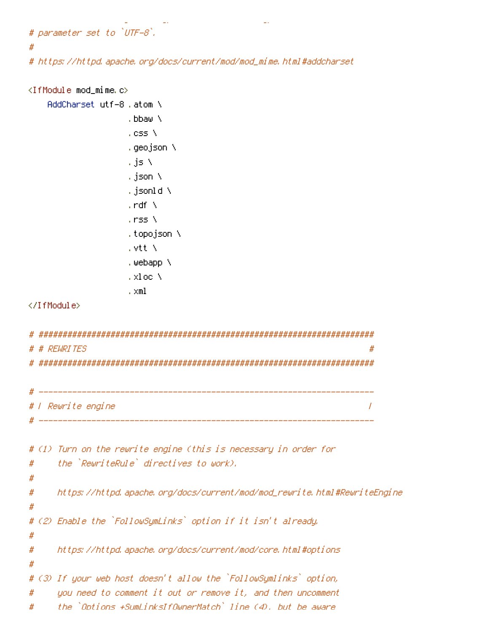```
# parameter set to `UTF-8`,
```
#

# https://httpd.apache.org/docs/current/mod/mod\_mime.html#addcharset

```
\langleIfModule mod_mime.c\rangleAddCharset utf-8, atom \
                 , bbaw \
                 cos \lambda.geojson \
                 , js N
                 , json N
                 , jsonld \lambda, \mathsf{rdf} \setminus, rss \lambda, topojson \
                 , vtt N
                 .webapp ∖
                 , xloc \
                 . \times 1</IfModule>
# REWRITES
 # | Rewrite engine
                                                          \prime# (1) Turn on the rewrite engine (this is necessary in order for
    the `RewriteRule` directives to work).
#
#
    https://httpd.apache.org/docs/current/mod/mod_rewrite.html#RewriteEngine
#
#
# (2) Enable the `FollowSymLinks` option if it isn't already.
#
    https://httpd.apache.org/docs/current/mod/core.html#options
#
#
# (3) If your web host doesn't allow the `FollowSymlinks` option,
     you need to comment it out or remove it, and then uncomment
#
     the `Ontions +SumLinksIfOwnerMatch` line (4), but be aware
```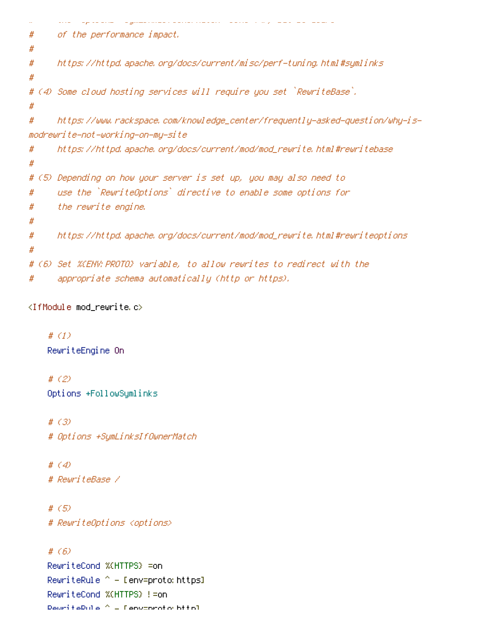```
ing an array of the ground collection construction and are a simple of the state of the p
                                                        Service Service Service
#
      of the performance impact.
#
      https://httpd.apache.org/docs/current/misc/perf-tuning.html#symlinks
#
#
# (4) Some cloud hosting services will require you set `RewriteBase`.
#
#
      https://www.rackspace.com/knowledge_center/frequently-asked-question/why-is-
modrewrite-not-working-on-my-site
      https://httpd.apache.org/docs/current/mod/mod_rewrite.html#rewritebase
#
#
# (5) Depending on how your server is set up, you may also need to
      use the `RewriteOptions` directive to enable some options for
#
      the rewrite engine.
#
#
      https://httpd.apache.org/docs/current/mod/mod_rewrite.html#rewriteoptions
#
#
# (6)  Set %(ENV:PROTO) variable, to allow rewrites to redirect with the
      appropriate schema automatically (http or https).
#
```

```
<IfModule mod_rewrite.c>
```
ä.

# $(1)$ RewriteEngine On

# $(2)$ Options +FollowSymlinks

#  $(3)$ # Options +SymLinksIfOwnerMatch

#  $\left( 4 \right)$ # RewriteBase /

#  $(5)$ # RewriteOptions <options>

```
# (6)
```
RewriteCond %(HTTPS) =on RewriteRule ^ – [env=proto:https] RewriteCond %(HTTPS) !=on DesmiteDule  $\triangle$  = Leovenroto bttol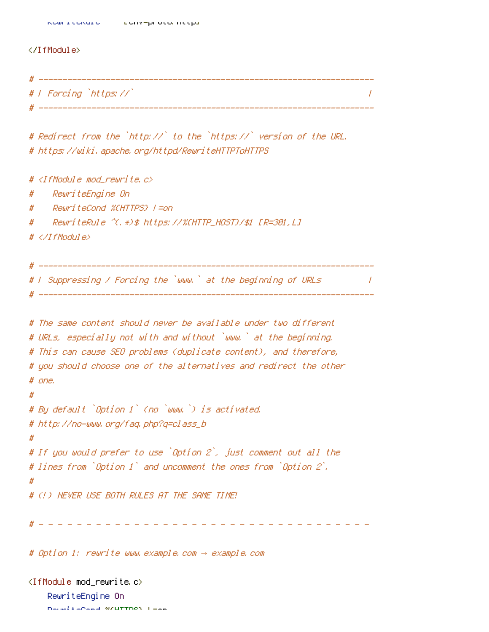#### </TfModule>

| 17 | _________             | ___ |
|----|-----------------------|-----|
|    | #   Forcing `https:// |     |
|    |                       |     |

# Redirect from the `http://` to the `https://` version of the URL. # https://wiki.apache.org/httpd/RewriteHTTPToHTTPS

```
# <IfModule mod rewrite.c>
    ReuriteEngine On
#RewriteCond %(HTTPS) !=on
#
     RewriteRule ^(, *)$ https://%(HTTP_HOST)/$1 [R=301,L]
#
# </IfModule>
 ___________
 I Suppressing / Forcing the `www.` at the beginning of URLs
                                                                          \sqrt{ }________________________________
# The same content should never be available under two different
# URLs, especially not with and without `www.` at the beginning.
# This can cause SEO problems (duplicate content), and therefore,
# you should choose one of the alternatives and redirect the other
# one.
\overline{\boldsymbol{H}}# By default `Option 1` (no `www.`) is activated.
# http://no-www.org/faq.php?q=class_b
## If you would prefer to use `Option 2`, just comment out all the
# lines from `Option 1` and uncomment the ones from `Option 2`.
\boldsymbol{\#}# (!) NEVER USE BOTH RULES AT THE SAME TIME!
```
# Option 1: rewrite www.example.com -> example.com

<IfModule mod\_rewrite.c> RewriteEnaine On natural research weather these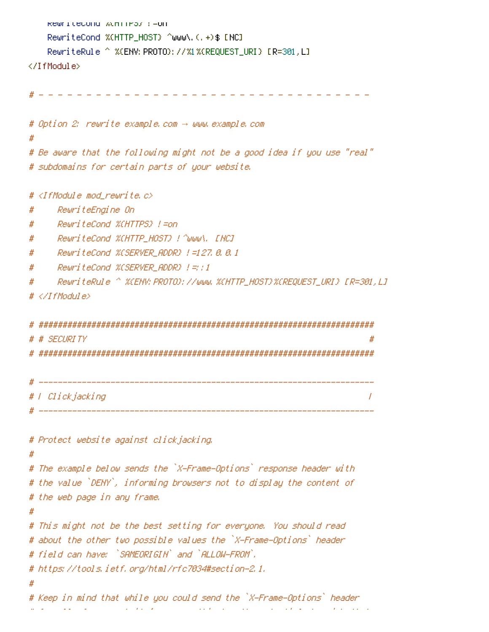```
RewriteCond Winfirs) := On
   RewriteCond %(HTTP_HOST) ^www\.(.+)$ [NC]
   RewriteRule ^ %(ENV; PROTO);                             //%1%(REQUEST_URI) [R=301,L]
</IfModule>
 # Option 2: rewrite example.com → www.example.com
Ħ
# Be aware that the following might not be a good idea if you use "real"
# subdomains for certain parts of your website.
 \triangleleftIfModule mod rewrite.c\triangleright#
#RewriteEngine On
   RewriteCond %(HTTPS) !=on
#
    RewriteCond %CHTTP_HOST} ! ^www\, [NC]
#
    ReuriteCond %(SERVER ADDR) !=127.8.8.1
#
    ReuriteCond %CSERVER ADDR} |=;;1
#
    ReuriteRule ^ %CENV: PROTO); //www. %CHTTP HOST)%CREQUEST URI} [R=301.L]
#
# </IfModule>
# # SECURITY
                                                         #
 __________
                   # | Clickjacking
                                                         \prime
```
# Protect website against clickjacking.

#

```
# The example below sends the `X-Frame-Options` response header with
# the value `DENY`, informing browsers not to display the content of
# the web page in any frame.
# This might not be the best setting for everyone. You should read
# about the other two possible values the `X-Frame-Options` header
# field can have: `SAMEORIGIN` and `ALLOW-FROM`.
# https://tools.ietf.org/html/rfc7034#section-2.1.
# Keep in mind that while you could send the `X-Frame-Options` header
```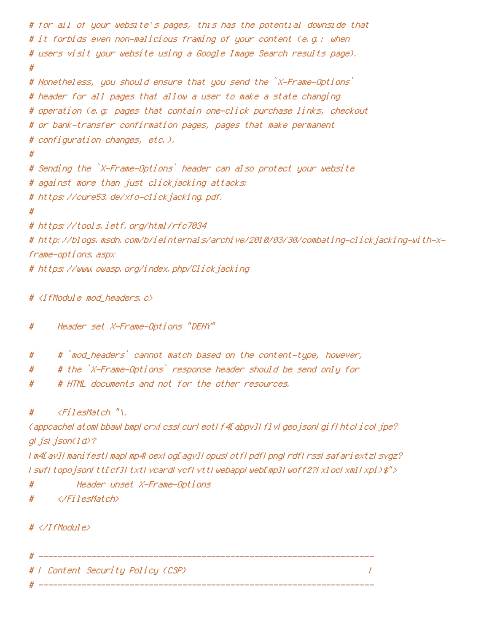```
# for all of your website's pages, this has the potential downside that
# it forbids even non-malicious framing of your content (e.g.: when
# users visit your website using a Google Image Search results page).
#
# Nonetheless, you should ensure that you send the `X-Frame-Options`
# header for all pages that allow a user to make a state changing
# operation (e.g. pages that contain one-click purchase links, checkout
# or bank-transfer confirmation pages, pages that make permanent
# configuration changes, etc.).
# Sending the `X-Frame-Options` header can also protect your website
# against more than just clickjacking attacks:
# https://cure53.de/xfo-clickjacking.pdf.
# https://tools.ietf.org/html/rfc7034
# http://blogs.msdn.com/b/ieinternals/archive/2010/03/30/combating-clickjacking-with-x-
frame-options, aspx
# https://www.owasp.org/index.php/Clickjacking
```
# <IfModule mod\_headers.c>

Header set X-Frame-Options "DENY" #

- # `mod\_headers` cannot match based on the content-type, however, #
- # the `X-Frame-Options` response header should be send only for #
- # HTML documents and not for the other resources. #

 $\langle$ FilesMatch "\, #

(appoachel atoml bbawl bmpl crxl cssl curl eotl f4Eabpv1Ff1vl geo.jsonl gif1 htcl i.col.jpe?) gl jsl json(1d)?

I m4EavII manifestI mapI mp4LoexLogEagvII opusLotfLpdfLpngLrdfLrssLsafariextzLsvgz? I swfI topojsonI ttEcfJI txtI veardI vefI vttI webappI webEmpJI woff2?I xlocI xmlI xpi)\$">

- # Header unset X-Frame-Options
- </FilesMatch> #

 $\# \langle \angle I$ f Modul e $\rangle$ 

# -----------

# F Content Security Policy (CSP) #

 $\overline{I}$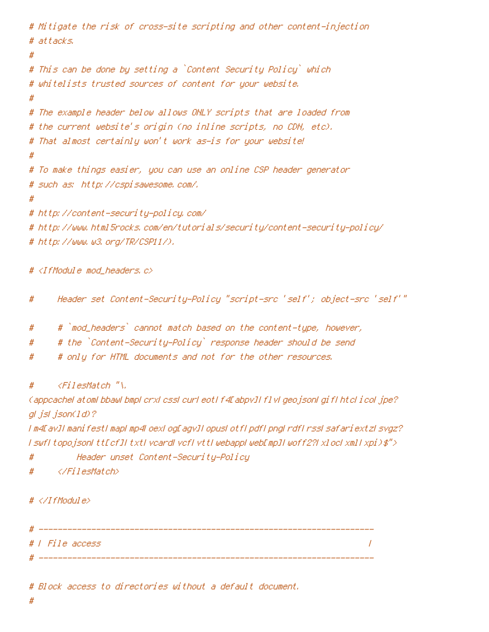```
# Mitigate the risk of cross-site scripting and other content-injection
# attacks.
# This can be done by setting a `Content Security Policy` which
# whitelists trusted sources of content for your website.
#
# The example header below allows ONLY scripts that are loaded from
# the current website's origin (no inline scripts, no CDN, etc).
# That almost certainly won't work as-is for your website!
# To make things easier, you can use an online CSP header generator
# such as: http://cspisawesome.com/.
#
# http://content-security-policy.com/
# http://www.html5rocks.com/en/tutorials/security/content-security-policy/
# http://www.w3.org/TR/CSP11/).
```
# <IfModule mod\_headers.c>

- Header set Content-Security-Policy "script-src 'self'; object-src 'self'" #
- # `mod\_headers` cannot match based on the content-type, however, #
- # the `Content-Security-Policy` response header should be send #
- # only for HTML documents and not for the other resources. #

 $\langle$ FilesMatch "\, #

(appoachel atoml bbawl bmpl crxl cssl curl eotl f4Eabpy]] f1 yl geo isonl gi f1 htcl i col jpe? al jsl json(1d)?

I m4EavJI manifestI mapI mp4LoexLogEagvJI opusLotfLpdfLpngLrdfLrssLsafariextzLsvgz? I swfI topojsonI ttEcfJI txtI veardI vefI vttI webappI webEmpJI woff2?I xlocI xmlI xpi)\$">

- Header unset Content-Security-Policy #
- </FilesMatch> #

## $# \langle \angle I$ fModule $\rangle$

# | File access  $\overline{I}$ 

# Block access to directories without a default document.

#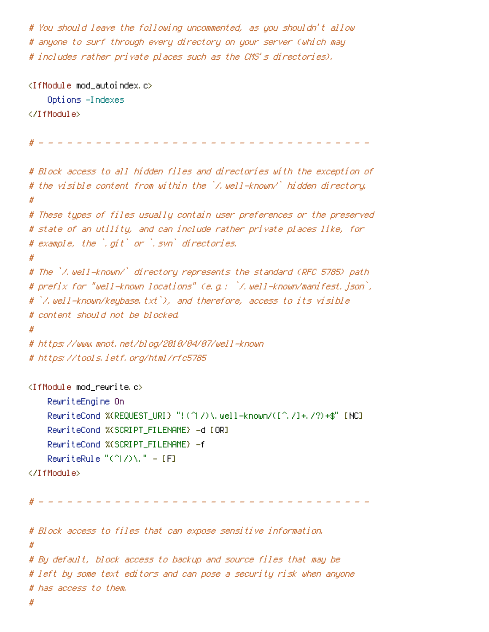# You should leave the following uncommented, as you shouldn't allow # anyone to surf through every directory on your server (which may # includes rather private places such as the CMS's directories).

```
\langleIfModule mod autoindex, c\rangleOptions -Indexes
</IfModule>
                                             - - - - - - - - - - -
# Block access to all hidden files and directories with the exception of
# the visible content from within the `/.well-known/` hidden directory.
#
# These types of files usually contain user preferences or the preserved
# state of an utility, and can include rather private places like, for
# example, the `.qit` or `.svn` directories.
Ħ
# The `/.well-known/` directory represents the standard (RFC 5785) path
# prefix for "well-known locations" (e.g.: `/.well-known/manifest.json`,
# `/.well-known/keybase.txt`), and therefore, access to its visible
# content should not be blocked.
#
# https://www.mnot.net/blog/2010/04/07/well-known
# https://tools.ietf.org/html/rfc5785
<IfModule mod rewrite.c>
    RewriteEngine On
    RewriteCond %(REQUEST_URI) "!(^|/)\.well=known/([^,/]+,/?)+$" [NC]
    RewriteCond %(SCRIPT_FILENAME) -d [OR]
    RewriteCond %(SCRIPT FILENAME) - f
    RewriteRule "(^\circ\!\!|\!| I) \setminus \" - [F]
</IfModule>
# Block access to files that can expose sensitive information.
## By default, block access to backup and source files that may be
# left by some text editors and can pose a security risk when anyone
```
#

# has access to them.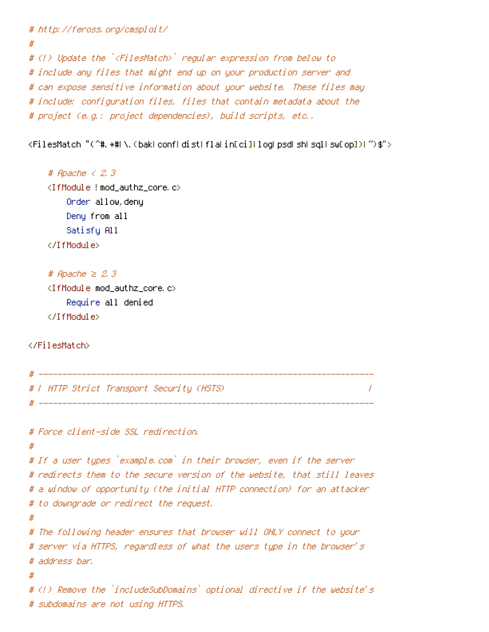```
# http://feross.org/cmsploit/
#
# (!) Update the `<FilesMatch>` regular expression from below to
# include any files that might end up on your production server and
# can expose sensitive information about your website. These files may
# include: configuration files, files that contain metadata about the
# project (e.g.: project dependencies), build scripts, etc..
```
<FilesMatch "(^#, \*#)\,(bak|conf|dist|fla|in[ci]|log|psd|sh|sql|sw[op])|~)\$">

```
# Apache \langle 2, 3 \rangle<IfModule !mod_authz_core c>
    Order allow, deny
    Deny from all
    Satisfy All
</IfModule>
```

```
# Apache \geq 2, 3
<IfModule mod_authz_core.c>
    Require all denied
</IfModule>
```
</FilesMatch>

```
# T HTTP Strict Transport Security (HSTS)
                                                     \prime# _______________
                         # Force client-side SSL redirection.
#
# If a user types `example.com` in their browser, even if the server
# redirects them to the secure version of the website, that still leaves
```
# a window of opportunity (the initial HTTP connection) for an attacker # to downgrade or redirect the request.

#

```
# The following header ensures that browser will ONLY connect to your
# server via HTTPS, regardless of what the users type in the browser's
# address bar,
```

```
# (!) Remove the `includeSubDomains` optional directive if the website's
# subdomains are not using HTTPS.
```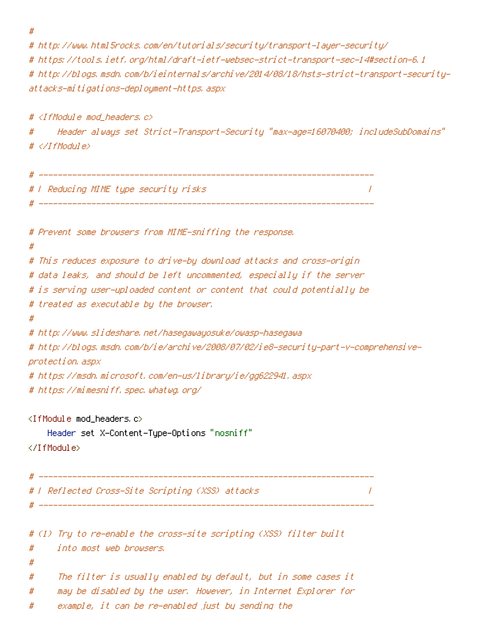$#$ 

# http://www.html5rocks.com/en/tutorials/security/transport-layer-security/ # https://tools.ietf.org/html/draft-ietf-websec-strict-transport-sec-14#section-6.1 # http://blogs.msdn.com/b/ieinternals/archive/2014/08/18/hsts-strict-transport-securityattacks-mitigations-deployment-https, aspx

# <IfModule mod headers.c>

Header always set Strict-Transport-Security "max-age=16070400; includeSubDomains" # # </IfModule>

```
# F Reducing MIME type security risks
                                                           \prime# Prevent some browsers from MIME-sniffing the response.
# This reduces exposure to drive-by download attacks and cross-origin
# data leaks, and should be left uncommented, especially if the server
# is serving user-uploaded content or content that could potentially be
# treated as executable by the browser.
\boldsymbol{\#}# http://www.slideshare.net/hasegawayosuke/owasp-hasegawa
# http://blogs.msdn.com/b/ie/archive/2008/07/02/ie8-security-part-v-comprehensive-
protection, aspx
# https://msdn.microsoft.com/en-us/library/ie/gg622941.aspx
# https://mimesniff.spec.whatwg.org/
\langleIfModule mod headers, c\rangleHeader set X–Content–Type–Options "nosniff"
</TfModule>
# | Reflected Cross-Site Scripting (XSS) attacks
                                                          \sqrt{ }# (1) Try to re-enable the cross-site scripting (XSS) filter built
    into most web browsers.
#
#
     The filter is usually enabled by default, but in some cases it
#
     may be disabled by the user. However, in Internet Explorer for
#
     example, it can be re-enabled just by sending the
#
```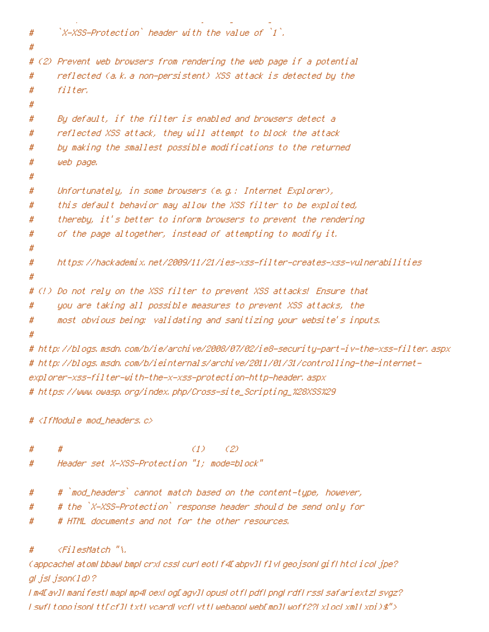```
\mathbb{Z}-XSS-Protection, header with the value of \mathbb{Z}^2.
##
# (2) Prevent web browsers from rendering the web page if a potential
      reflected (a.k.a non-persistent) XSS attack is detected by the
#
      filter.
#
#
      By default, if the filter is enabled and browsers detect a
#
      reflected XSS attack, they will attempt to block the attack
#
      by making the smallest possible modifications to the returned
#
      web page.
#
#
      Unfortunately, in some browsers (e.g.: Internet Explorer),
#
      this default behavior may allow the XSS filter to be exploited,
#
      thereby, it's better to inform browsers to prevent the rendering
#
      of the page altogether, instead of attempting to modify it.
#
#
#https://hackademix.net/2009/11/21/ies-xss-filter-creates-xss-vulnerabilities
## (!) Do not rely on the XSS filter to prevent XSS attacks! Ensure that
      you are taking all possible measures to prevent XSS attacks, the
#
#
      most obvious being: validating and sanitizing your website's inputs.
#
# http://blogs.msdn.com/b/ie/archive/2008/07/02/ie8-security-part-iv-the-xss-filter.aspx
# http://blogs.msdn.com/b/ieinternals/archive/2011/01/31/controlling-the-internet-
explorer-xss-filter-with-the-x-xss-protection-http-header, aspx
```
# https://www.owasp.org/index.php/Cross-site\_Scripting\_%28XSS%29

 $#$  <IfModule mod headers,  $c$ >

- $(1)$  $(2)$ # #
- Header set X-XSS-Protection "1: mode=block" #
- # `mod\_headers` cannot match based on the content-type, however, #
- # the `X-XSS-Protection` response header should be send only for #
- # HTML documents and not for the other resources. #

 $\langle$ FilesMatch "\, #

Cappcachel atoml bbawl bmpl crxl cssl curl eotl f4EabpvJI f1vl geojsonl gif1 htcl i col jpe? gl jsl json(1d)?

I m4DavII manifestI mapI mp4LoexLogDagvII opusLotfLpdfLpngLrdfLrssLsafariextzLsvgz? (suf) topo ison(tt[cf][txt[vcard[vcf]vtt] webapp[web[mp][woff2?[x]oc[xm][xpi)\$">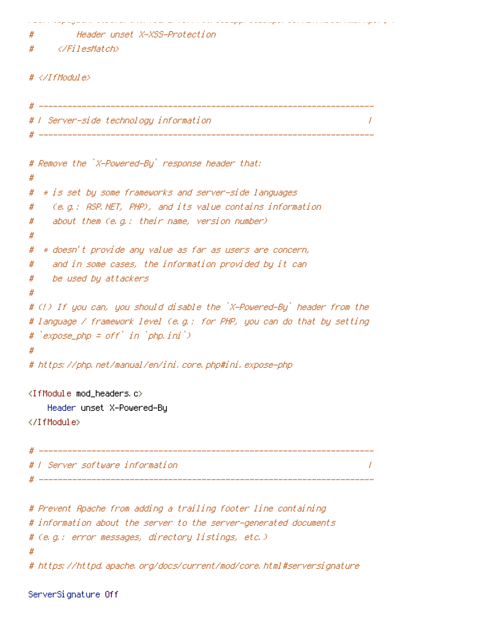Header unset X-XSS-Protection #

</FilesMatch> #

# $\# \langle \angle I$ fModule $\rangle$

```
# F Server-side technology information.
                                                               \prime# Remove the `X-Powered-By` response header that:
#
  * is set by some frameworks and server-side languages
#
    (e.g.: ASP.NET, PHP), and its value contains information
#
    about them (e.g.: their name, version number)
#
#
  * doesn't provide any value as far as users are concern,
#
    and in some cases, the information provided by it can
#
    be used by attackers
#
#
# (!) If you can, you should disable the `X-Powered-By` header from the
# language / framework level (e.g.: for PHP, you can do that by setting
# `expose_php = off` in `php.ini`)
# https://php.net/manual/en/ini.core.php#ini.expose-php
<IfModule mod_headers.c>
   Header unset X-Powered-By
</IfModule>
                            I Server software information
                                                               \prime# Prevent Apache from adding a trailing footer line containing
# information about the server to the server-generated documents
# (e.g.: error messages, directory listings, etc.)
# https://httpd.apache.org/docs/current/mod/core.html#serversignature
```
المتود وسنتج بمعاشر ووموه ومعا ومتوسقتهم وتوسيقهم بالأوار ووماء المتار المتعارية بالأرواد ومالونا الاستقرامي

ServerSignature Off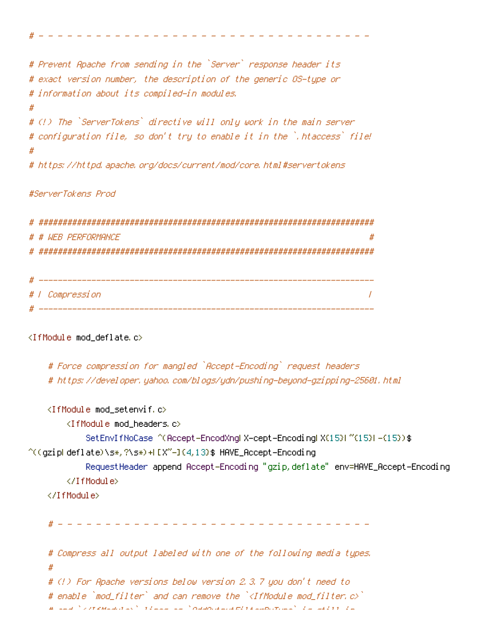```
# Prevent Apache from sending in the `Server` response header its
# exact version number, the description of the generic OS-type or
# information about its compiled-in modules.
Ħ
# (!) The `ServerTokens` directive will only work in the main server
# configuration file, so don't try to enable it in the `,htaccess` file!
#
# https://httpd.apache.org/docs/current/mod/core.html#servertokens
```
#### #ServerTokens Prod

```
# # WFR PFRFORMANCE
                \boldsymbol{\#}# | Compression
               \overline{I}
```
## <IfModule mod\_deflate.c>

```
# Force compression for mangled `Accept-Encoding` request headers
# https://developer.yahoo.com/blogs/ydn/pushing-beyond-gzipping-25601.html
```

```
<IfModule mod setenvif.c>
       <IfModule mod headers.c>
          SetEnvIfNoCase ^(Accept-EncodXngl X-cept-Encodingl X(15)1 ^(15)1-(15)) $
^((gzipLdeflate)\s*,?\s*)+L{X"-]{4,13}$ HAVE_Accept-Encoding
          Request Header append Accept-Encoding "gzip, deflate" env=HAVE_Accept-Encoding
       </TifModule>
   </TifModule>
   # Compress all output labeled with one of the following media types.
   # (!) For Apache versions below version 2.3.7 you don't need to
```

```
# enable `mod filter` and can remove the `<IfModule mod filter c>`
```

```
27.5 M_{\odot} and 2.5 M_{\odot} and 2.5 M_{\odot} and 2.5 M_{\odot} and 2.5 M_{\odot} and 2.5 M_{\odot} and 2.5 M_{\odot}
```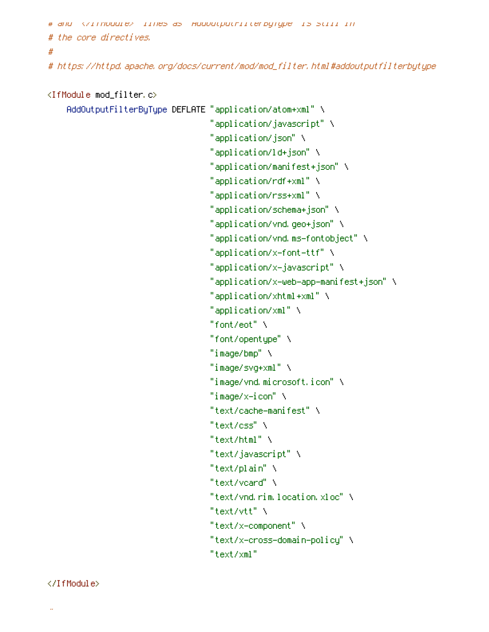```
# and </lTrodule> lines as HooUutputrilterbyType is still in
# the core directives.
#
```
# https://httpd.apache.org/docs/current/mod/mod\_filter.html#addoutputfilterbytype

```
<IfModule mod_filter.c>
    AddOutputFilterByType DEFLATE "application/atom+xml" \
                                   "application/javascript" \
                                   "application/json" \
                                   "application/ld+json" \
                                   "application/manifest+json" \
                                   "application/rdf+xml" \
                                   "application/rss+xml" \
                                   "application/schema+json" \
                                   "application/vnd.geo+json" \
                                   "application/vnd.ms-fontobject" \
                                   "application/x-font-ttf" \
                                   "application/x-javascript" \
                                   "application/x-web-app-manifest+json" \
                                   "application/xhtml+xml" \
                                   "application/xml" \
                                   "font/eot" \
                                   "font/opentype" \
                                   "image/bmp" \lambda"image/svq+xml" \
                                   "image/vnd.microsoft.icon" \
                                   "image/x-icon" \setminus"text/cache-manifest" \
                                   "text/css" \
                                   "text/html" \
                                   "text/javascript" \
                                   "text/plain" \
                                   "text/vcard" \
                                   "text/ynd.rim.location.xloc" \
                                   "text/vtt" \lambda"text/x-component" \
                                   "text/x-cross-domain-policy" \
                                   "text/xml"
```
#### </IfModule>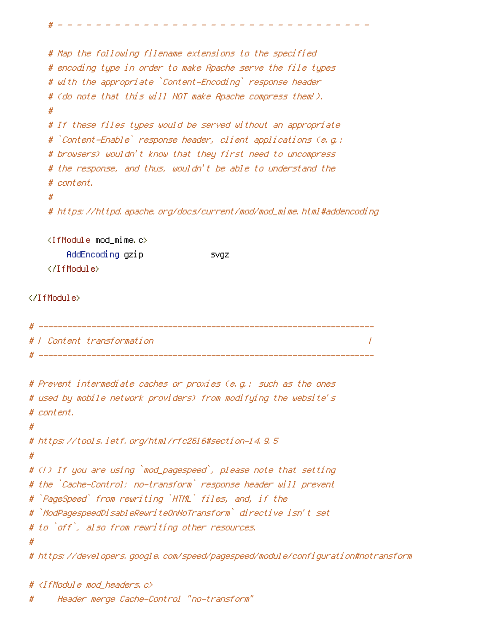```
# Map the following filename extensions to the specified
   # encoding type in order to make Apache serve the file types
   # with the appropriate `Content-Encoding` response header
   # (do note that this will NOT make Apache compress them!).
   ## If these files types would be served without an appropriate
   # `Content-Enable` response header, client applications (e.g.:
   # browsers) wouldn't know that they first need to uncompress
   # the response, and thus, wouldn't be able to understand the
   # content.
   ## https://httpd.apache.org/docs/current/mod/mod_mime.html#addencoding
   <IfModule mod_mime.c>
       AddEncoding gzip
                                 svgz
   </IfModule>
</IfModule>
 # | Content transformation
                                                                 \prime# Prevent intermediate caches or proxies (e.g.: such as the ones
# used by mobile network providers) from modifying the website's
# content.
# https://tools.ietf.org/html/rfc2616#section-14.9.5
#
# (!) If you are using `mod_pagespeed`, please note that setting
# the `Cache-Control: no-transform` response header will prevent
# `PageSpeed` from rewriting `HTML` files, and, if the
# `ModPagespeedDisableRewriteOnNoTransform` directive isn't set
# to `off`, also from rewriting other resources.
#
# https://developers.google.com/speed/pagespeed/module/configuration#notransform
```

```
Header merge Cache-Control "no-transform"
```
# <IfModule mod\_headers.c>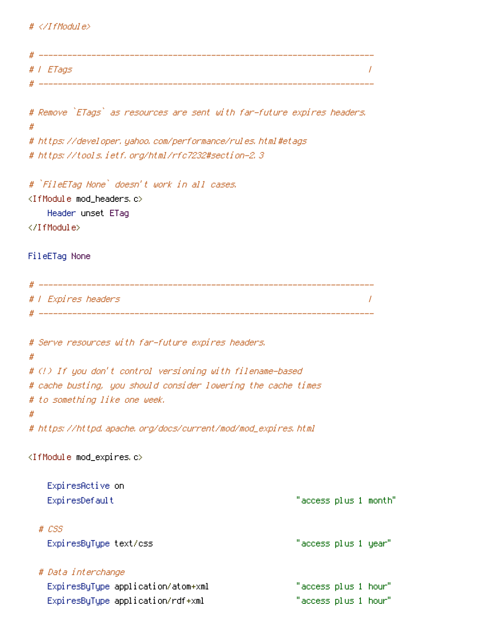## $# \langle \angle I$ f Modul e $\rangle$

| # <i>I ETags</i>                                                        |                       |
|-------------------------------------------------------------------------|-----------------------|
|                                                                         |                       |
| # Remove `ETags` as resources are sent with far-future expires headers. |                       |
| #<br># https://developer.yahoo.com/performance/rules.html#etags         |                       |
| # https://tools.ietf.org/html/rfc7232#section-2.3                       |                       |
| # `FileETag None` doesn't work in all cases.                            |                       |
| <ifmodule mod_headers.c=""><br/>Header unset ETag</ifmodule>            |                       |
|                                                                         |                       |
| FileETag None                                                           |                       |
|                                                                         |                       |
| #   Expires headers                                                     |                       |
|                                                                         |                       |
| # Serve resources with far-future expires headers.                      |                       |
| #                                                                       |                       |
| # (!) If you don't control versioning with filename-based               |                       |
| # cache busting, you should consider lowering the cache times           |                       |
| # to something like one week.<br>#                                      |                       |
| # https://httpd.apache.org/docs/current/mod/mod_expires.html            |                       |
| <ifmodule c="" mod_expires=""></ifmodule>                               |                       |
| ExpiresActive on                                                        |                       |
| ExpiresDefault                                                          | "access plus 1 month" |
| $# \text{ } \text{LSS}$                                                 |                       |
| ExpiresByType text/css                                                  | "access plus 1 year"  |
| # Data interchange                                                      |                       |
| ExpiresByType application/atom+xml                                      | "access plus 1 hour"  |
| ExpiresByType application/rdf+xml                                       | "access plus 1 hour"  |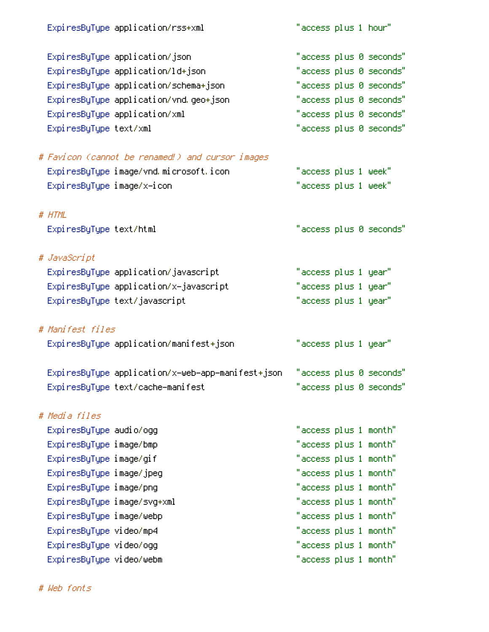| ExpiresByType application/rss+xml                 | "access plus 1 hour"    |
|---------------------------------------------------|-------------------------|
| ExpiresByType application/json                    | "access plus 0 seconds" |
| ExpiresByType application/ld+json                 | "access plus 0 seconds" |
| ExpiresByType application/schema+json             | "access plus 0 seconds" |
| ExpiresByType application/vnd.geo+json            | "access plus 0 seconds" |
| ExpiresByType application/xml                     | "access plus 0 seconds" |
| ExpiresByType text/xml                            | "access plus 0 seconds" |
| # Favicon (cannot be renamed!) and cursor images  |                         |
| ExpiresByType image/vnd.microsoft.icon            | "access plus 1 week"    |
| ExpiresByType image/x-icon                        | "access plus 1 week"    |
| # HTML                                            |                         |
| ExpiresByType text/html                           | "access plus 0 seconds" |
| # JavaScript                                      |                         |
| ExpiresByType application/javascript              | "access plus 1 year"    |
| ExpiresByType application/x-javascript            | "access plus 1 year"    |
| ExpiresByType text/javascript                     | "access plus 1 year"    |
| # Manifest files                                  |                         |
| ExpiresByType application/manifest+json           | "access plus 1 year"    |
| ExpiresByType application/x-web-app-manifest+json | "access plus 0 seconds" |
| ExpiresByType text/cache-manifest                 | "access plus 0 seconds" |
| # Media files                                     |                         |
| Expi resByType audio/ogg                          | "access plus 1 month"   |
| ExpiresByType image/bmp                           | "access plus 1 month"   |
| ExpiresByType image/gif                           | "access plus 1 month"   |
| ExpiresByType image/jpeg                          | "access plus 1 month"   |
| ExpiresByType image/png                           | "access plus 1 month"   |
| ExpiresByType image/svg+xml                       | "access plus 1 month"   |
| ExpiresByType image/webp                          | "access plus 1 month"   |
| ExpiresByType video/mp4                           | "access plus 1 month"   |
| ExpiresByType video/ogg                           | "access plus 1 month"   |
| ExpiresByType video/webm                          | "access plus 1 month"   |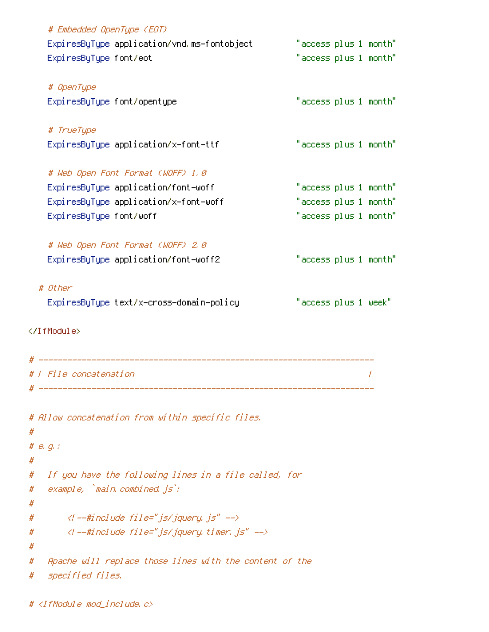|   | # Embedded OpenType (EOT)                               |                       |   |
|---|---------------------------------------------------------|-----------------------|---|
|   | ExpiresByType application/vnd.ms-fontobject             | "access plus 1 month" |   |
|   | ExpiresByType font/eot                                  | "access plus 1 month" |   |
|   |                                                         |                       |   |
|   | # OpenType                                              |                       |   |
|   | ExpiresByType font/opentype                             | "access plus 1 month" |   |
|   | # TrueType                                              |                       |   |
|   | ExpiresByType application/x-font-ttf                    | "access plus 1 month" |   |
|   |                                                         |                       |   |
|   | # Web Open Font Format (WOFF) 1.0                       |                       |   |
|   | ExpiresByType application/font-woff                     | "access plus 1 month" |   |
|   | ExpiresByType application/x-font-woff                   | "access plus 1 month" |   |
|   | ExpiresByType font/woff                                 | "access plus 1 month" |   |
|   | # Web Open Font Format (WOFF) 2.0                       |                       |   |
|   | ExpiresByType application/font-woff2                    | "access plus 1 month" |   |
|   |                                                         |                       |   |
|   | # Other                                                 |                       |   |
|   | ExpiresByType text/x-cross-domain-policy                | "access plus 1 week"  |   |
|   |                                                         |                       |   |
|   |                                                         |                       |   |
|   |                                                         |                       |   |
|   | #   File concatenation                                  |                       | 7 |
|   |                                                         |                       |   |
|   |                                                         |                       |   |
|   | # Allow concatenation from within specific files.       |                       |   |
| # |                                                         |                       |   |
|   | # $e$ , $g$ , $f$                                       |                       |   |
| # |                                                         |                       |   |
| # | If you have the following lines in a file called, for   |                       |   |
| # | example, `main.combined.js`;                            |                       |   |
| # |                                                         |                       |   |
| # | #include file="js/jquery.js"                            |                       |   |
| # | $\langle$ l --#include file="js/jquery, timer, js" -->  |                       |   |
| # |                                                         |                       |   |
| # | Apache will replace those lines with the content of the |                       |   |
| # | specified files.                                        |                       |   |
|   |                                                         |                       |   |